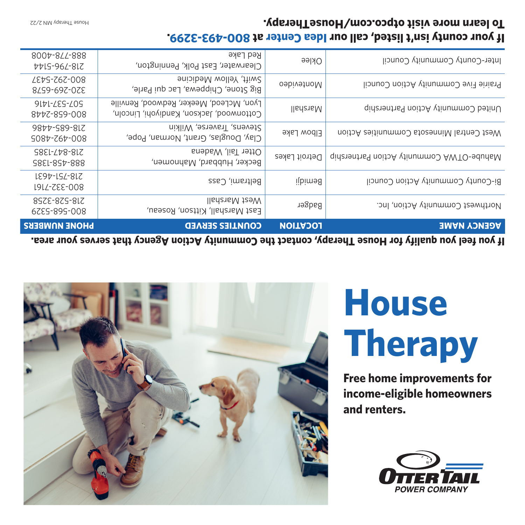

**Free home improvements for income-eligible homeowners and renters.**

## **House Therapy**



| <b>PHONE NOMBERS</b>                    | <b>COUNTIES SERVED</b>                                                              | <b>NOITAJO1</b>      | <b>AGENCY NAME</b>                        |
|-----------------------------------------|-------------------------------------------------------------------------------------|----------------------|-------------------------------------------|
| 8SZE-8ZS-8LZ<br>6725-895-008            | <b>Ilancial Alarshall</b><br>East Marshall, Kittson, Roseau,                        | Badger               | Northwest Community Action, Inc.          |
| LE97-LSL-8LZ<br><b>1914-222-008</b>     | Beltrami, Cass                                                                      | libim <sub>9</sub> 8 | Bi-County Community Action Council        |
| S8EL- <i>L</i> tr-8-817<br>S881-857-888 | Otter Tail, Wadena<br>Becker, Hubbard, Mahnomen,                                    | Detroit Lakes        | qinerahing Community Action Partnership   |
| 9877-989-817<br>S087-767-008            | Stevens, Traverse, Wilkin<br>Clay, Douglas, Grant, Norman, Pope,                    | Elbow Lake           | West Central Minnesota Communities Action |
| <b>9171-225-205</b><br>8777-859-008     | Lyon, McLeod, Meeker, Redwood, Renville<br>Cottonwood, Jackson, Kandiyohi, Lincoln, | lladeraM             | United Community Action Partnership       |
| EDG-767-008<br>829-697-078              | Swift, Yellow Medicine<br>Big Stone, Chippewa, Lac qui Parle,                       | Montevideo           | Prairie Five Community Action Council     |
| 8007-844-888<br>775-962-817             | Red Lake<br>Clearwater, East Polk, Pennington,                                      | Oklee                | Inter-County Community Council            |

## **If your county isn't listed, call our ldea Center at 800-493-3299. To learn more visit otpco.com/HouseTherapy.**

House Therapy MN 2/22